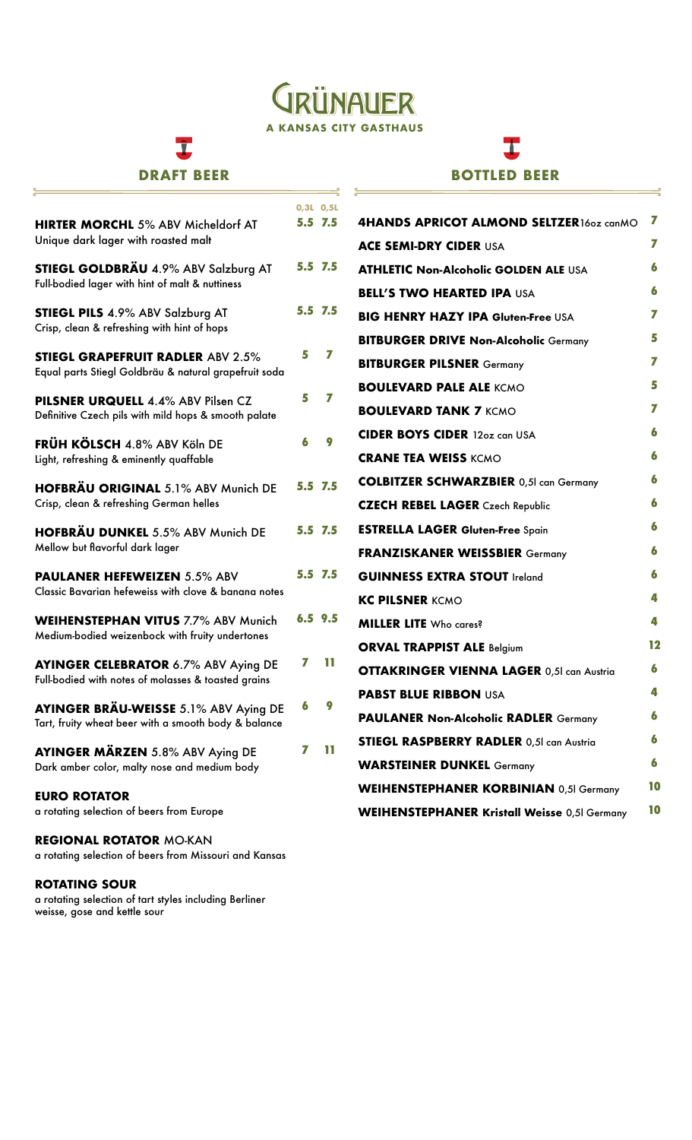## **JRÜNAUER A KANSAS CITY GASTHAUS**

## I

#### **DRAFT BEER**

 $\frac{1}{2}$ 

### 工 **BOTTLED BEER**

 $\Rightarrow$ 

|                                                                                                   |   | 0.3L 0.5L   |                                                     |    |
|---------------------------------------------------------------------------------------------------|---|-------------|-----------------------------------------------------|----|
| <b>HIRTER MORCHL 5% ABV Micheldorf AT</b>                                                         |   | 5.5 7.5     | 4HANDS APRICOT ALMOND SELTZER160z canMO             | 7  |
| Unique dark lager with roasted malt                                                               |   |             | <b>ACE SEMI-DRY CIDER USA</b>                       | 7  |
| STIEGL GOLDBRÄU 4.9% ABV Salzburg AT                                                              |   | 5.5 7.5     | <b>ATHLETIC Non-Alcoholic GOLDEN ALE USA</b>        | 6  |
| Full-bodied lager with hint of malt & nuttiness                                                   |   |             | <b>BELL'S TWO HEARTED IPA USA</b>                   | 6  |
| <b>STIEGL PILS 4.9% ABV Salzburg AT</b><br>Crisp, clean & refreshing with hint of hops            |   | 5.5 7.5     | <b>BIG HENRY HAZY IPA Gluten-Free USA</b>           | 7  |
|                                                                                                   |   |             | <b>BITBURGER DRIVE Non-Alcoholic Germany</b>        | 5  |
| <b>STIEGL GRAPEFRUIT RADLER ABV 2.5%</b><br>Equal parts Stiegl Goldbräu & natural grapefruit soda | 5 | 7           | <b>BITBURGER PILSNER Germany</b>                    | 7  |
|                                                                                                   | 5 | 77          | <b>BOULEVARD PALE ALE KCMO</b>                      | 5  |
| PILSNER URQUELL 4.4% ABV Pilsen CZ<br>Definitive Czech pils with mild hops & smooth palate        |   |             | <b>BOULEVARD TANK 7 KCMO</b>                        | 7  |
| FRÜH KÖLSCH 4.8% ABV Köln DE                                                                      |   | Q           | <b>CIDER BOYS CIDER 12oz can USA</b>                | 6  |
| Light, refreshing & eminently quaffable                                                           |   |             | <b>CRANE TEA WEISS KCMO</b>                         | 6  |
| HOFBRÄU ORIGINAL 5.1% ABV Munich DE                                                               |   | 5.5 7.5     | <b>COLBITZER SCHWARZBIER 0,51 can Germany</b>       | 6  |
| Crisp, clean & refreshing German helles                                                           |   |             | <b>CZECH REBEL LAGER</b> Czech Republic             | 6  |
| <b>HOFBRÄU DUNKEL 5.5% ABV Munich DE</b>                                                          |   | 5.5 7.5     | <b>ESTRELLA LAGER Gluten-Free Spain</b>             | 6  |
| Mellow but flavorful dark lager                                                                   |   |             | <b>FRANZISKANER WEISSBIER Germany</b>               | 6  |
| <b>PAULANER HEFEWEIZEN 5.5% ABV</b>                                                               |   | 5.5 7.5     | <b>GUINNESS EXTRA STOUT Ireland</b>                 | 6  |
| Classic Bavarian hefeweiss with clove & banana notes                                              |   |             | <b>KC PILSNER KCMO</b>                              | 4  |
| <b>WEIHENSTEPHAN VITUS 7.7% ABV Munich</b>                                                        |   | $6.5$ $9.5$ | <b>MILLER LITE</b> Who cares?                       | 4  |
| Medium-bodied weizenbock with fruity undertones                                                   |   |             | <b>ORVAL TRAPPIST ALE Belgium</b>                   | 12 |
| <b>AYINGER CELEBRATOR 6.7% ABV Aying DE</b>                                                       | 7 | ш           | <b>OTTAKRINGER VIENNA LAGER 0,51 can Austria</b>    | 6  |
| Full-bodied with notes of molasses & toasted grains                                               |   |             | <b>PABST BLUE RIBBON USA</b>                        | 4  |
| AYINGER BRÄU-WEISSE 5.1% ABV Aying DE<br>Tart, fruity wheat beer with a smooth body & balance     | 6 | 9           | <b>PAULANER Non-Alcoholic RADLER Germany</b>        | 6  |
|                                                                                                   |   |             | <b>STIEGL RASPBERRY RADLER 0,51 can Austria</b>     | 6  |
| <b>AYINGER MÄRZEN</b> 5.8% ABV Aying DE<br>Dark amber color, malty nose and medium body           | 7 | m           | <b>WARSTEINER DUNKEL Germany</b>                    | 6  |
|                                                                                                   |   |             | <b>WEIHENSTEPHANER KORBINIAN 0,5I Germany</b>       | 10 |
| <b>EURO ROTATOR</b><br>a rotating selection of beers from Europe                                  |   |             | <b>WEIHENSTEPHANER Kristall Weisse 0,5I Germany</b> | 10 |
| <b>REGIONAL ROTATOR MO-KAN</b>                                                                    |   |             |                                                     |    |
|                                                                                                   |   |             |                                                     |    |

a rotating selection of beers from Missouri and Kansas

#### **ROTATING SOUR**

a rotating selection of tart styles including Berliner weisse, gose and kettle sour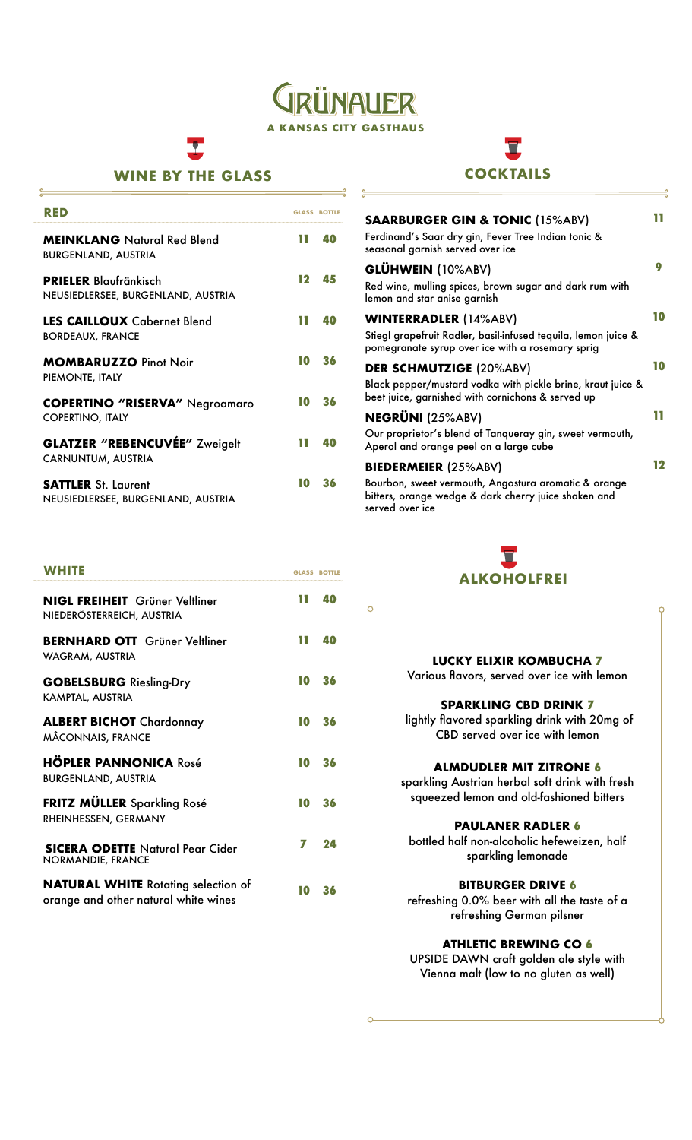**INAUER A KANSAS CITY GASTHAUS**

#### **WINE BY THE GLASS**

| RED                                                                |    | <b>GLASS ROTTLE</b> |
|--------------------------------------------------------------------|----|---------------------|
| <b>MEINKLANG</b> Natural Red Blend<br><b>BURGENLAND, AUSTRIA</b>   | 11 | 40                  |
| <b>PRIELER</b> Blaufränkisch<br>NEUSIEDLERSEE, BURGENLAND, AUSTRIA | 12 | 45                  |
| <b>LES CAILLOUX</b> Cabernet Blend<br><b>BORDEAUX, FRANCE</b>      | ш  | 40                  |
| <b>MOMBARUZZO Pinot Noir</b><br>PIEMONTE, ITALY                    | 10 | 36                  |
| <b>COPERTINO "RISERVA"</b> Negroamaro<br><b>COPERTINO, ITALY</b>   | 10 | 36                  |
| <b>GLATZER "REBENCUVÉE" Zweigelt</b><br>CARNUNTUM, AUSTRIA         | ш  | 40                  |
| <b>SATTLER</b> St. Laurent<br>NEUSIEDLERSEE, BURGENLAND, AUSTRIA   | 10 | 36                  |

| WHITE                                                                              |    | <b>GLASS BOTTLE</b> |
|------------------------------------------------------------------------------------|----|---------------------|
| <b>NIGL FREIHEIT</b> Grüner Veltliner<br>NIEDERÖSTERREICH, AUSTRIA                 | m  | 40                  |
| <b>BERNHARD OTT</b> Grüner Veltliner<br>WAGRAM, AUSTRIA                            | m  | 40                  |
| <b>GOBELSBURG</b> Riesling-Dry<br>KAMPTAL, AUSTRIA                                 | 10 | 36                  |
| <b>ALBERT BICHOT</b> Chardonnay<br>MÂCONNAIS, FRANCE                               | 10 | 36                  |
| <b>HÖPLER PANNONICA Rosé</b><br><b>BURGENLAND, AUSTRIA</b>                         | 10 | 36                  |
| <b>FRITZ MÜLLER</b> Sparkling Rosé<br>RHEINHESSEN, GERMANY                         | 10 | 36                  |
| <b>SICERA ODETTE Natural Pear Cider</b><br>NORMANDIE, FRANCE                       | 7  | 24                  |
| <b>NATURAL WHITE</b> Rotating selection of<br>orange and other natural white wines | 10 | 36                  |

# **COCKTAILS**

| <b>SAARBURGER GIN &amp; TONIC (15%ABV)</b><br>Ferdinand's Saar dry gin, Fever Tree Indian tonic &<br>seasonal garnish served over ice                          |    |
|----------------------------------------------------------------------------------------------------------------------------------------------------------------|----|
| GLÜHWEIN (10%ABV)<br>Red wine, mulling spices, brown sugar and dark rum with<br>lemon and star anise garnish                                                   |    |
| <b>WINTERRADLER (14%ABV)</b><br>Stiegl grapefruit Radler, basil-infused tequila, lemon juice &<br>pomegranate syrup over ice with a rosemary sprig             | 10 |
| <b>DER SCHMUTZIGE (20%ABV)</b><br>Black pepper/mustard vodka with pickle brine, kraut juice &<br>beet juice, garnished with cornichons & served up             | 10 |
| <b>NEGRÜNI</b> (25%ABV)<br>Our proprietor's blend of Tanqueray gin, sweet vermouth,<br>Aperol and orange peel on a large cube                                  |    |
| <b>BIEDERMEIER (25%ABV)</b><br>Bourbon, sweet vermouth, Angostura aromatic & orange<br>bitters, orange wedge & dark cherry juice shaken and<br>served over ice | 12 |



#### **LUCKY ELIXIR KOMBUCHA 7**

Various flavors, served over ice with lemon

#### **SPARKLING CBD DRINK 7**

 lightly flavored sparkling drink with 20mg of CBD served over ice with lemon

#### **ALMDUDLER MIT ZITRONE 6**

sparkling Austrian herbal soft drink with fresh squeezed lemon and old-fashioned bitters

#### **PAULANER RADLER 6**

bottled half non-alcoholic hefeweizen, half sparkling lemonade

#### **BITBURGER DRIVE 6**

refreshing 0.0% beer with all the taste of a refreshing German pilsner

#### **ATHLETIC BREWING CO 6**

UPSIDE DAWN craft golden ale style with Vienna malt (low to no gluten as well)